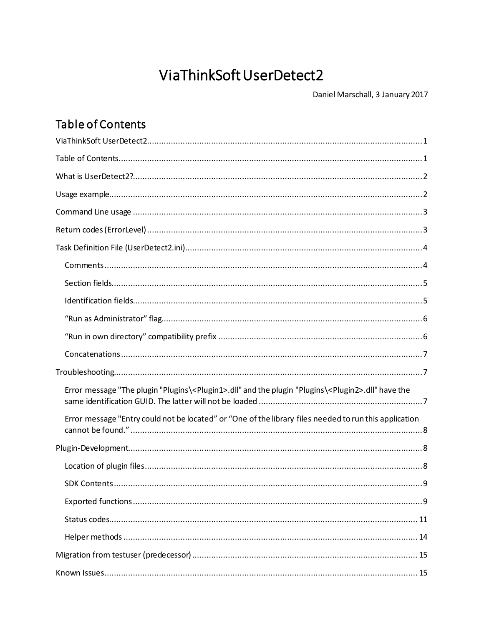# ViaThinkSoft UserDetect2

Daniel Marschall, 3 January 2017

## <span id="page-0-1"></span><span id="page-0-0"></span>Table of Contents

| Error message "The plugin "Plugins\ <plugin1>.dll" and the plugin "Plugins\<plugin2>.dll" have the</plugin2></plugin1> |
|------------------------------------------------------------------------------------------------------------------------|
| Error message "Entry could not be located" or "One of the library files needed to run this application                 |
|                                                                                                                        |
|                                                                                                                        |
|                                                                                                                        |
|                                                                                                                        |
|                                                                                                                        |
|                                                                                                                        |
|                                                                                                                        |
|                                                                                                                        |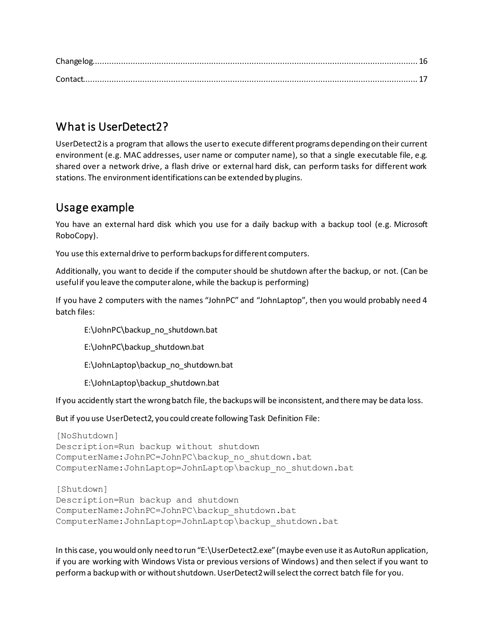## <span id="page-1-0"></span>What is UserDetect2?

UserDetect2 is a program that allows the user to execute different programs depending on their current environment (e.g. MAC addresses, user name or computer name), so that a single executable file, e.g. shared over a network drive, a flash drive or external hard disk, can perform tasks for different work stations. The environment identifications can be extended by plugins.

## <span id="page-1-1"></span>Usage example

You have an external hard disk which you use for a daily backup with a backup tool (e.g. Microsoft RoboCopy).

You use this external drive to perform backups for different computers.

Additionally, you want to decide if the computer should be shutdown after the backup, or not. (Can be useful if you leave the computer alone, while the backup is performing)

If you have 2 computers with the names "JohnPC" and "JohnLaptop", then you would probably need 4 batch files:

E:\JohnPC\backup\_no\_shutdown.bat

E:\JohnPC\backup\_shutdown.bat

E:\JohnLaptop\backup\_no\_shutdown.bat

E:\JohnLaptop\backup\_shutdown.bat

If you accidently start the wrong batch file, the backups will be inconsistent, and there may be data loss.

But if you use UserDetect2, you could create following Task Definition File:

```
[NoShutdown]
Description=Run backup without shutdown
ComputerName:JohnPC=JohnPC\backup_no_shutdown.bat
ComputerName:JohnLaptop=JohnLaptop\backup_no_shutdown.bat
```
[Shutdown] Description=Run backup and shutdown ComputerName:JohnPC=JohnPC\backup\_shutdown.bat ComputerName:JohnLaptop=JohnLaptop\backup\_shutdown.bat

In this case, you would only need to run "E:\UserDetect2.exe" (maybe even use it as AutoRun application, if you are working with Windows Vista or previous versions of Windows) and then select if you want to perform a backup with or without shutdown. UserDetect2 will select the correct batch file for you.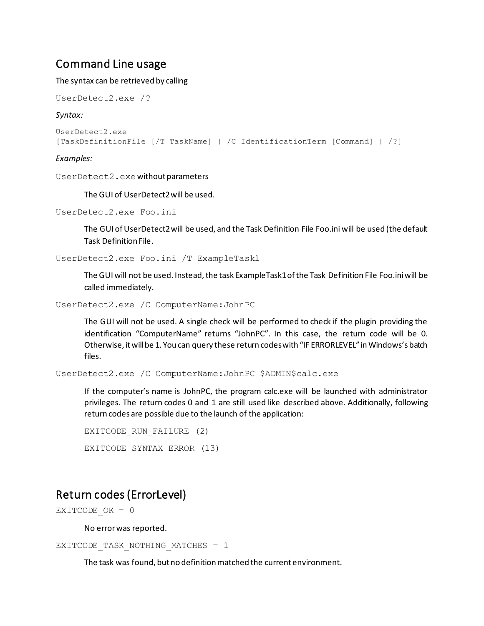## <span id="page-2-0"></span>Command Line usage

The syntax can be retrieved by calling

```
UserDetect2.exe /?
```
#### *Syntax:*

```
UserDetect2.exe
[TaskDefinitionFile [/T TaskName] | /C IdentificationTerm [Command] | /?]
```
#### *Examples:*

UserDetect2.exewithout parameters

The GUI of UserDetect2 will be used.

```
UserDetect2.exe Foo.ini
```
The GUI of UserDetect2 will be used, and the Task Definition File Foo.ini will be used (the default Task Definition File.

UserDetect2.exe Foo.ini /T ExampleTask1

The GUI will not be used. Instead, the task ExampleTask1 of the Task Definition File Foo.ini will be called immediately.

```
UserDetect2.exe /C ComputerName:JohnPC
```
The GUI will not be used. A single check will be performed to check if the plugin providing the identification "ComputerName" returns "JohnPC". In this case, the return code will be 0. Otherwise, it will be 1. You can query these return codeswith "IF ERRORLEVEL" in Windows's batch files.

UserDetect2.exe /C ComputerName:JohnPC \$ADMIN\$calc.exe

If the computer's name is JohnPC, the program calc.exe will be launched with administrator privileges. The return codes 0 and 1 are still used like described above. Additionally, following return codes are possible due to the launch of the application:

```
EXITCODE RUN FAILURE (2)
EXITCODE_SYNTAX_ERROR (13)
```
## <span id="page-2-1"></span>Return codes (ErrorLevel)

EXITCODE  $OK = 0$ 

No error was reported.

```
EXITCODE TASK NOTHING MATCHES = 1
```
The task was found, but no definition matched the current environment.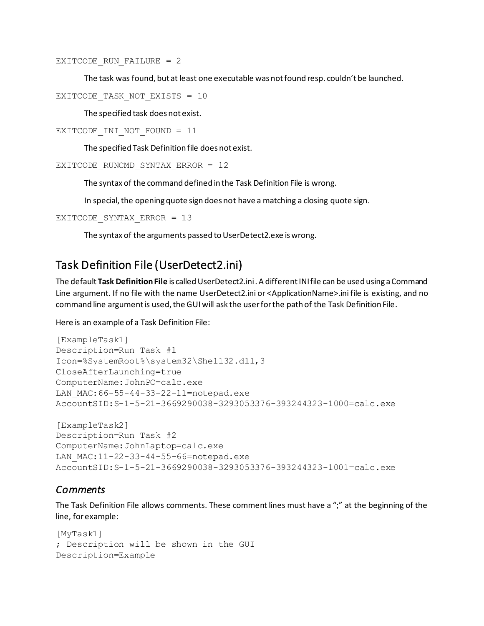EXITCODE RUN FAILURE =  $2$ 

The task was found, but at least one executable was not found resp. couldn't be launched.

```
EXITCODE TASK NOT EXISTS = 10
```
The specified task does not exist.

```
EXITCODE INI NOT FOUND = 11
```
The specified Task Definition file does not exist.

```
EXITCODE_RUNCMD_SYNTAX_ERROR = 12
```
The syntax of the command defined in the Task Definition File is wrong.

In special, the opening quote sign does not have a matching a closing quote sign.

```
EXITCODE_SYNTAX_ERROR = 13
```
The syntax of the arguments passed to UserDetect2.exe is wrong.

## <span id="page-3-0"></span>Task Definition File (UserDetect2.ini)

The default **Task Definition File** is called UserDetect2.ini . A different INI file can be used using a Command Line argument. If no file with the name UserDetect2.ini or <ApplicationName>.ini file is existing, and no command line argument is used, the GUI will ask the user for the path of the Task Definition File.

#### Here is an example of a Task Definition File:

```
[ExampleTask1]
Description=Run Task #1
Icon=%SystemRoot%\system32\Shell32.dll,3
CloseAfterLaunching=true
ComputerName:JohnPC=calc.exe
LAN MAC:66-55-44-33-22-11=notepad.exe
AccountSID:S-1-5-21-3669290038-3293053376-393244323-1000=calc.exe
[ExampleTask2]
Description=Run Task #2
ComputerName:JohnLaptop=calc.exe
LAN MAC:11-22-33-44-55-66=notepad.exe
```

```
AccountSID:S-1-5-21-3669290038-3293053376-393244323-1001=calc.exe
```
### *Comments*

The Task Definition File allows comments. These comment lines must have a ";" at the beginning of the line, for example:

```
[MyTask1]
; Description will be shown in the GUI
Description=Example
```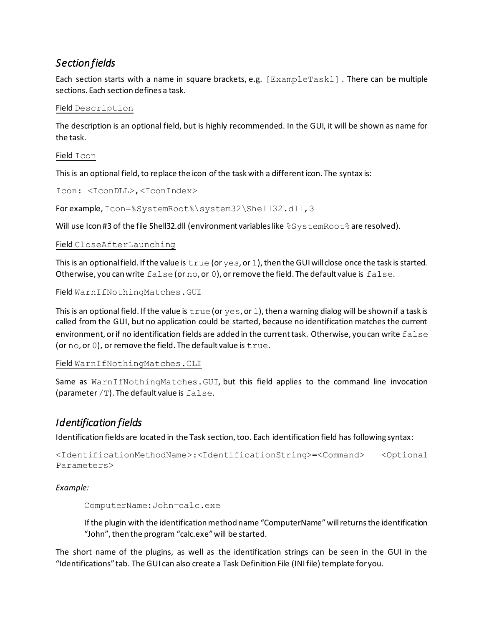### <span id="page-4-0"></span>*Section fields*

Each section starts with a name in square brackets, e.g. [ExampleTask1] . There can be multiple sections. Each section defines a task.

### Field Description

The description is an optional field, but is highly recommended. In the GUI, it will be shown as name for the task.

### Field Icon

This is an optional field, to replace the icon of the task with a different icon. The syntax is:

```
Icon: <IconDLL>,<IconIndex>
```
For example, Icon=%SystemRoot%\system32\Shell32.dll,3

Will use Icon #3 of the file Shell32.dll (environment variables like %SystemRoot%are resolved).

#### Field CloseAfterLaunching

This is an optional field. If the value is  $true$  (or  $yes$ , or  $1$ ), then the GUI will close once the task is started. Otherwise, you can write  $false$  (or no, or 0), or remove the field. The default value is  $false$ .

#### Field WarnIfNothingMatches.GUI

This is an optional field. If the value is  $true$  (or  $yes$ , or 1), then a warning dialog will be shown if a task is called from the GUI, but no application could be started, because no identification matches the current environment, or if no identification fields are added in the current task. Otherwise, you can write false (or  $no$ , or  $0$ ), or remove the field. The default value is  $true$ .

#### Field WarnIfNothingMatches.CLI

Same as WarnIfNothingMatches. GUI, but this field applies to the command line invocation (parameter  $/T$ ). The default value is  $false$ .

### <span id="page-4-1"></span>*Identification fields*

Identification fields are located in the Task section, too. Each identification field has following syntax:

```
<IdentificationMethodName>:<IdentificationString>=<Command> <Optional 
Parameters>
```
#### *Example:*

ComputerName:John=calc.exe

If the plugin with the identification method name "ComputerName" will returnsthe identification "John", then the program "calc.exe" will be started.

The short name of the plugins, as well as the identification strings can be seen in the GUI in the "Identifications" tab. The GUI can also create a Task Definition File (INI file) template for you.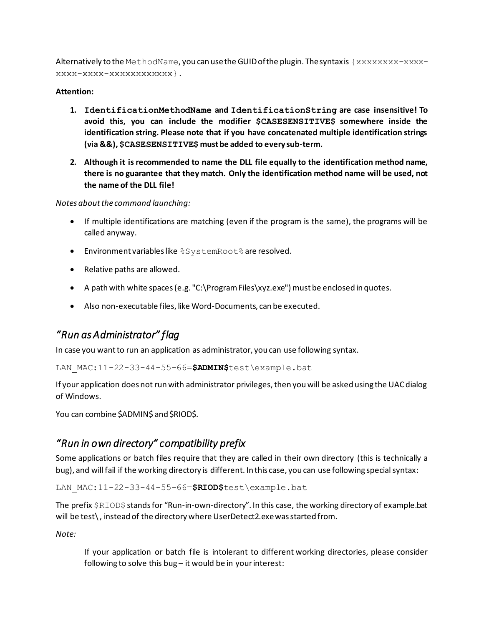Alternatively to the MethodName, you can use the GUID of the plugin. The syntax is  $\{xxxxxx-xxxxx-z\}$ xxxx-xxxx-xxxxxxxxxxxx}.

### **Attention:**

- **1. IdentificationMethodName and IdentificationString are case insensitive! To avoid this, you can include the modifier \$CASESENSITIVE\$ somewhere inside the identification string. Please note that if you have concatenated multiple identification strings (via &&), \$CASESENSITIVE\$ must be added to every sub-term.**
- **2. Although it is recommended to name the DLL file equally to the identification method name, there is no guarantee that they match. Only the identification method name will be used, not the name of the DLL file!**

#### *Notes about the command launching:*

- If multiple identifications are matching (even if the program is the same), the programs will be called anyway.
- **•** Environment variables like %SystemRoot% are resolved.
- Relative paths are allowed.
- A path with white spaces (e.g. "C:\Program Files\xyz.exe") must be enclosed in quotes.
- Also non-executable files, like Word-Documents, can be executed.

## <span id="page-5-0"></span>*"Run as Administrator" flag*

In case you want to run an application as administrator, you can use following syntax.

LAN\_MAC:11-22-33-44-55-66=**\$ADMIN\$**test\example.bat

If your application does not run with administrator privileges, then you will be asked using the UAC dialog of Windows.

You can combine \$ADMIN\$ and \$RIOD\$.

### <span id="page-5-1"></span>*"Run in own directory" compatibility prefix*

Some applications or batch files require that they are called in their own directory (this is technically a bug), and will fail if the working directory is different. In this case, you can use following special syntax:

LAN\_MAC:11-22-33-44-55-66=**\$RIOD\$**test\example.bat

The prefix \$RIOD\$ stands for "Run-in-own-directory". In this case, the working directory of example.bat will be test\, instead of the directory where UserDetect2.exe was started from.

*Note:*

If your application or batch file is intolerant to different working directories, please consider following to solve this bug – it would be in your interest: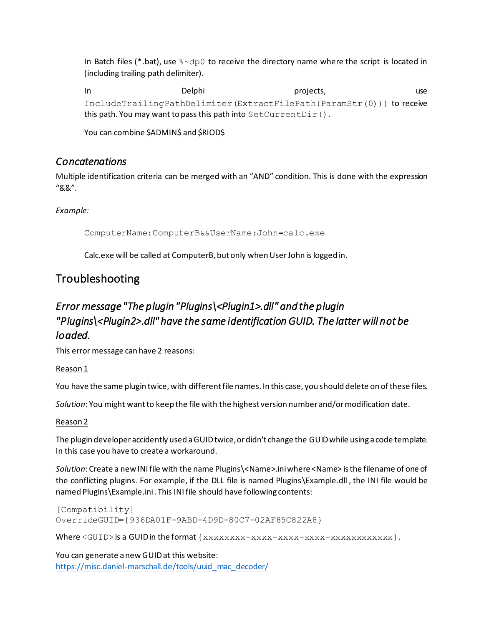In Batch files (\*.bat), use  $\sim$  dp0 to receive the directory name where the script is located in (including trailing path delimiter).

In Delphi projects, use IncludeTrailingPathDelimiter(ExtractFilePath(ParamStr(0))) to receive this path. You may want to pass this path into SetCurrentDir().

You can combine \$ADMIN\$ and \$RIOD\$

### <span id="page-6-0"></span>*Concatenations*

Multiple identification criteria can be merged with an "AND" condition. This is done with the expression "&&".

*Example:*

ComputerName:ComputerB&&UserName:John=calc.exe

Calc.exe will be called at ComputerB, but only when User John is logged in.

## <span id="page-6-1"></span>Troubleshooting

## <span id="page-6-2"></span>*Error message "The plugin "Plugins\<Plugin1>.dll" and the plugin "Plugins\<Plugin2>.dll" have the same identification GUID. The latter will not be loaded.*

This error message can have 2 reasons:

#### Reason 1

You have the same plugin twice, with different file names. In this case, you should delete on of these files.

*Solution*: You might want to keep the file with the highest version number and/or modification date.

### Reason 2

The plugin developer accidently used a GUID twice, or didn't change the GUID while using a code template. In this case you have to create a workaround.

*Solution*: Create a new INI file with the name Plugins\<Name>.ini where <Name> is the filename of one of the conflicting plugins. For example, if the DLL file is named Plugins\Example.dll , the INI file would be named Plugins\Example.ini . This INI file should have following contents:

[Compatibility] OverrideGUID={936DA01F-9ABD-4D9D-80C7-02AF85C822A8}

Where <GUID> is a GUID in the format {xxxxxxxxxx-xxxx-xxxx-xxxx-xxxxxxxxxx}.

You can generate a new GUID at this website: [https://misc.daniel-marschall.de/tools/uuid\\_mac\\_decoder/](https://misc.daniel-marschall.de/tools/uuid_mac_decoder/)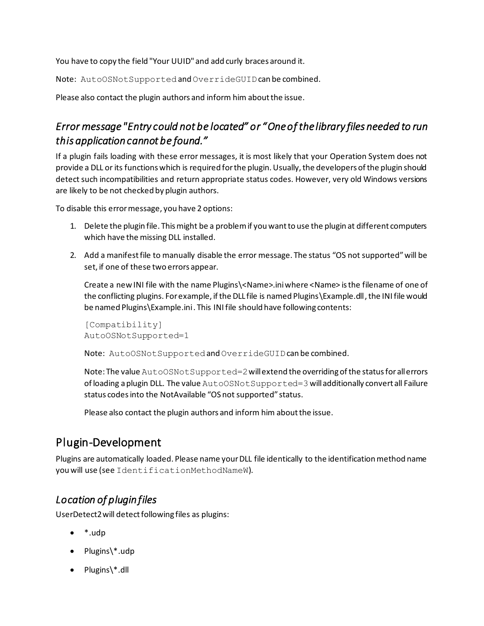You have to copy the field "Your UUID" and add curly braces around it.

Note: AutoOSNotSupported and OverrideGUID can be combined.

Please also contact the plugin authors and inform him about the issue.

## <span id="page-7-0"></span>*Error message "Entry could not be located" or "One of the library files needed to run this application cannot be found."*

If a plugin fails loading with these error messages, it is most likely that your Operation System does not provide a DLL or its functions which is required for the plugin. Usually, the developers of the plugin should detect such incompatibilities and return appropriate status codes. However, very old Windows versions are likely to be not checked by plugin authors.

To disable this error message, you have 2 options:

- 1. Delete the plugin file. This might be a problem if you want to use the plugin at different computers which have the missing DLL installed.
- 2. Add a manifest file to manually disable the error message. The status "OS not supported" will be set, if one of these two errors appear.

Create a new INI file with the name Plugins\<Name>.iniwhere <Name> is the filename of one of the conflicting plugins. For example, if the DLL file is named Plugins\Example.dll , the INI file would be named Plugins\Example.ini . This INI file should have following contents:

```
[Compatibility]
AutoOSNotSupported=1
```
Note: AutoOSNotSupported and OverrideGUID can be combined.

Note: The value AutoOSNotSupported=2will extend the overriding of the status for all errors of loading a plugin DLL. The value AutoOSNotSupported=3 will additionally convert all Failure status codes into the NotAvailable "OS not supported" status.

Please also contact the plugin authors and inform him about the issue.

## <span id="page-7-1"></span>Plugin-Development

Plugins are automatically loaded. Please name your DLL file identically to the identification method name you will use (see IdentificationMethodNameW).

## <span id="page-7-2"></span>*Location of plugin files*

UserDetect2 will detect following files as plugins:

- \*.udp
- Plugins\\*.udp
- Plugins\\*.dll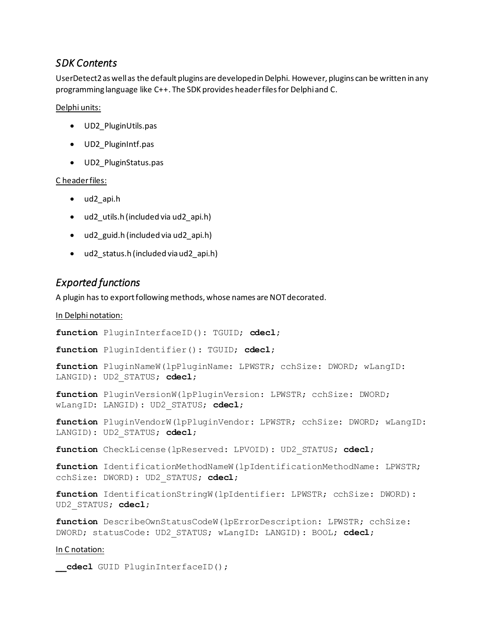### <span id="page-8-0"></span>*SDK Contents*

UserDetect2 as well as the default plugins are developed in Delphi. However, plugins can be written in any programming language like C++. The SDK provides header files for Delphi and C.

#### Delphi units:

- UD2\_PluginUtils.pas
- UD2\_PluginIntf.pas
- UD2\_PluginStatus.pas

#### C header files:

- ud2\_api.h
- ud2 utils.h (included via ud2 api.h)
- ud2 guid.h (included via ud2 api.h)
- ud2 status.h (included via ud2 api.h)

### <span id="page-8-1"></span>*Exported functions*

A plugin has to export following methods, whose names are NOT decorated.

#### In Delphi notation:

**function** PluginInterfaceID(): TGUID; **cdecl**;

**function** PluginIdentifier(): TGUID; **cdecl**;

**function** PluginNameW(lpPluginName: LPWSTR; cchSize: DWORD; wLangID: LANGID): UD2\_STATUS; **cdecl**;

**function** PluginVersionW(lpPluginVersion: LPWSTR; cchSize: DWORD; wLangID: LANGID): UD2\_STATUS; **cdecl**;

**function** PluginVendorW(lpPluginVendor: LPWSTR; cchSize: DWORD; wLangID: LANGID): UD2\_STATUS; **cdecl**;

**function** CheckLicense(lpReserved: LPVOID): UD2\_STATUS; **cdecl**;

**function** IdentificationMethodNameW(lpIdentificationMethodName: LPWSTR; cchSize: DWORD): UD2\_STATUS; **cdecl**;

**function** IdentificationStringW(lpIdentifier: LPWSTR; cchSize: DWORD): UD2\_STATUS; **cdecl**;

**function** DescribeOwnStatusCodeW(lpErrorDescription: LPWSTR; cchSize: DWORD; statusCode: UD2\_STATUS; wLangID: LANGID): BOOL; **cdecl**;

#### In C notation:

**\_\_cdecl** GUID PluginInterfaceID();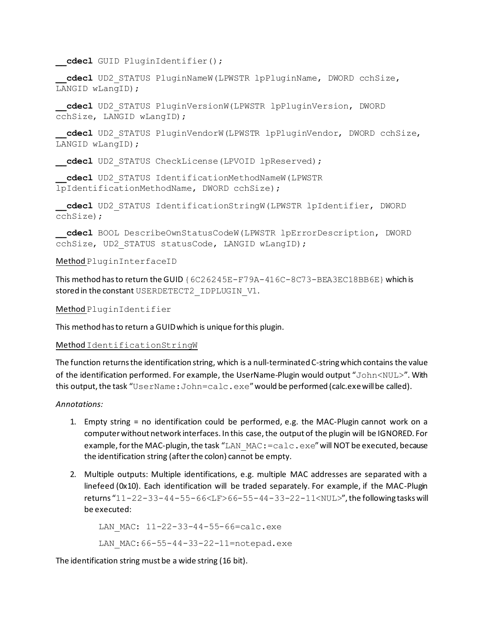```
__cdecl GUID PluginIdentifier();
```
**\_\_cdecl** UD2\_STATUS PluginNameW(LPWSTR lpPluginName, DWORD cchSize, LANGID wLangID);

**\_\_cdecl** UD2\_STATUS PluginVersionW(LPWSTR lpPluginVersion, DWORD cchSize, LANGID wLangID);

**\_\_cdecl** UD2\_STATUS PluginVendorW(LPWSTR lpPluginVendor, DWORD cchSize, LANGID wLangID);

**cdecl** UD2 STATUS CheckLicense(LPVOID lpReserved);

**\_\_cdecl** UD2\_STATUS IdentificationMethodNameW(LPWSTR lpIdentificationMethodName, DWORD cchSize);

**\_\_cdecl** UD2\_STATUS IdentificationStringW(LPWSTR lpIdentifier, DWORD cchSize);

**\_\_cdecl** BOOL DescribeOwnStatusCodeW(LPWSTR lpErrorDescription, DWORD cchSize, UD2 STATUS statusCode, LANGID wLangID);

#### Method PluginInterfaceID

This method has to return the GUID {6C26245E-F79A-416C-8C73-BEA3EC18BB6E} which is stored in the constant USERDETECT2\_IDPLUGIN\_V1.

Method PluginIdentifier

This method has to return a GUID which is unique for this plugin.

#### Method IdentificationStringW

The function returns the identification string, which is a null-terminated C-string which contains the value of the identification performed. For example, the UserName-Plugin would output "John<NUL>". With this output, the task "UserName: John=calc.exe" would be performed (calc.exe will be called).

#### *Annotations:*

- 1. Empty string = no identification could be performed, e.g. the MAC-Plugin cannot work on a computer without network interfaces. In this case, the output of the plugin will be IGNORED. For example, for the MAC-plugin, the task "LAN  $MAC:=calc$ .  $exe$ " will NOT be executed, because the identification string (after the colon) cannot be empty.
- 2. Multiple outputs: Multiple identifications, e.g. multiple MAC addresses are separated with a linefeed (0x10). Each identification will be traded separately. For example, if the MAC-Plugin returns "11-22-33-44-55-66<LF>66-55-44-33-22-11<NUL>", the following tasks will be executed:

```
LAN MAC: 11-22-33-44-55-66=calc.exe
```
LAN MAC:66-55-44-33-22-11=notepad.exe

The identification string must be a wide string (16 bit).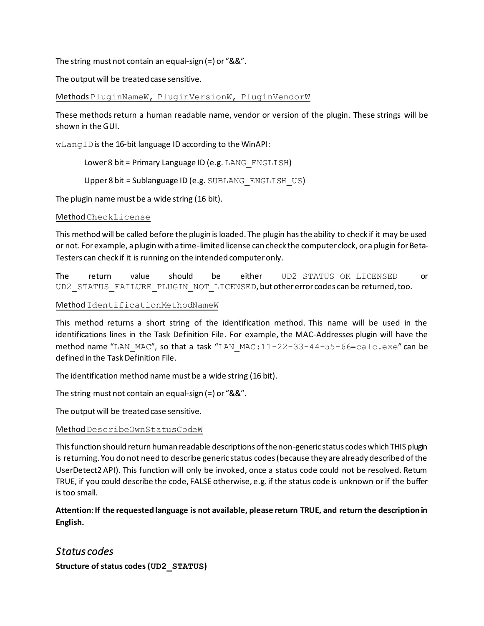The string must not contain an equal-sign (=) or "&&".

The output will be treated case sensitive.

MethodsPluginNameW, PluginVersionW, PluginVendorW

These methods return a human readable name, vendor or version of the plugin. These strings will be shown in the GUI.

wLangIDis the 16-bit language ID according to the WinAPI:

Lower 8 bit = Primary Language ID (e.g.  $LANG$  ENGLISH)

Upper 8 bit = Sublanguage ID (e.g. SUBLANG\_ENGLISH\_US)

The plugin name must be a wide string (16 bit).

#### Method CheckLicense

This method will be called before the plugin is loaded. The plugin has the ability to check if it may be used or not. For example, a plugin with a time-limited license can check the computer clock, or a plugin for Beta-Testers can check if it is running on the intended computer only.

The return value should be either UD2\_STATUS\_OK\_LICENSED or UD2 STATUS FAILURE PLUGIN NOT LICENSED, but other error codes can be returned, too.

#### Method IdentificationMethodNameW

This method returns a short string of the identification method. This name will be used in the identifications lines in the Task Definition File. For example, the MAC-Addresses plugin will have the method name "LAN\_MAC", so that a task "LAN\_MAC: $11-22-33-44-55-66=calc.exe$ " can be defined in the Task Definition File.

The identification method name must be a wide string (16 bit).

The string must not contain an equal-sign (=) or "&&".

The output will be treated case sensitive.

#### Method DescribeOwnStatusCodeW

This function should return human readable descriptions of the non-generic status codes which THIS plugin is returning. You do not need to describe generic status codes (because they are already described of the UserDetect2 API). This function will only be invoked, once a status code could not be resolved. Return TRUE, if you could describe the code, FALSE otherwise, e.g. if the status code is unknown or if the buffer is too small.

**Attention: If the requested language is not available, please return TRUE, and return the description in English.**

### <span id="page-10-0"></span>*Status codes*

**Structure of status codes (UD2\_STATUS)**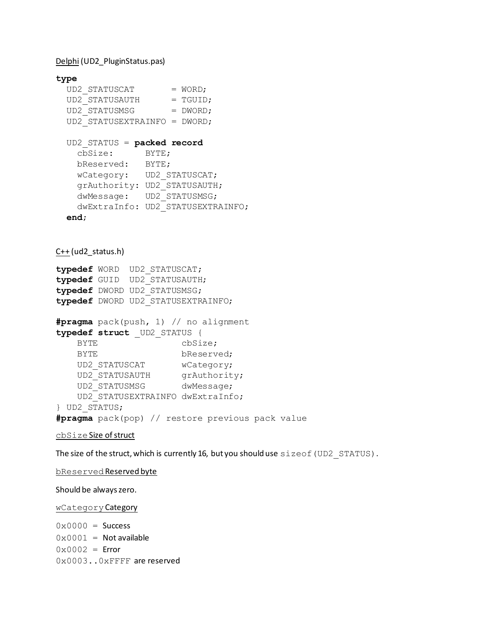Delphi (UD2\_PluginStatus.pas)

```
type
 UD2 STATUSCAT = WORD;
UD2 STATUSAUTH = TGUID;
UD2 STATUSMSG = DWORD;
  UD2_STATUSEXTRAINFO = DWORD;
  UD2_STATUS = packed record
    cbSize: BYTE;
    bReserved: BYTE;
    wCategory: UD2_STATUSCAT;
    grAuthority: UD2_STATUSAUTH;
    dwMessage: UD2_STATUSMSG;
    dwExtraInfo: UD2_STATUSEXTRAINFO;
  end;
C++ (ud2_status.h)
typedef WORD UD2_STATUSCAT;
typedef GUID UD2_STATUSAUTH;
typedef DWORD UD2_STATUSMSG;
typedef DWORD UD2_STATUSEXTRAINFO;
#pragma pack(push, 1) // no alignment
typedef struct _UD2_STATUS {
   BYTE cbSize;
   BYTE bReserved;
   UD2 STATUSCAT wCategory;
UD2 STATUSAUTH grAuthority;
UD2 STATUSMSG dwMessage;
    UD2_STATUSEXTRAINFO dwExtraInfo;
} UD2_STATUS;
#pragma pack(pop) // restore previous pack value
```

```
cbSize Size of struct
```
The size of the struct, which is currently 16, but you should use sizeof (UD2 STATUS).

bReserved Reserved byte

Should be always zero.

#### wCategoryCategory

 $0 \times 0000 =$  Success  $0 \times 0001$  = Not available  $0 \times 0002$  = Error 0x0003..0xFFFF are reserved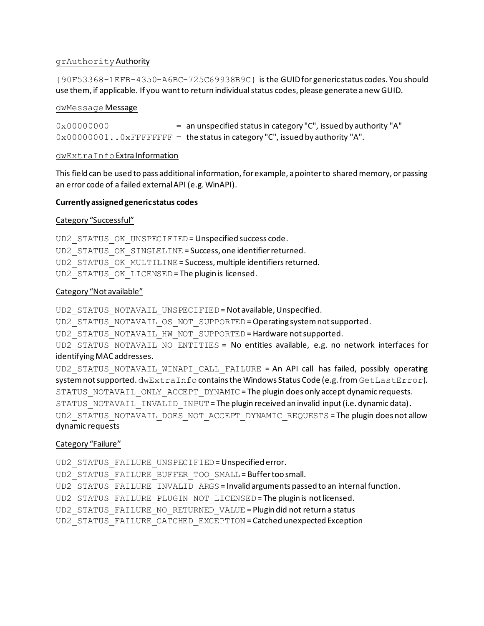#### grAuthorityAuthority

{90F53368-1EFB-4350-A6BC-725C69938B9C} is the GUID for generic status codes. You should use them, if applicable. If you want to return individual status codes, please generate a new GUID.

#### dwMessage Message

0x00000000 = an unspecified status in category "C", issued by authority "A"  $0 \times 00000001$ ..  $0 \times$ FFFFFFFFF = the status in category "C", issued by authority "A".

#### dwExtraInfoExtra Information

This field can be used to pass additional information, for example, a pointer to shared memory, or passing an error code of a failed external API (e.g. WinAPI).

#### **Currently assigned generic status codes**

#### Category "Successful"

UD2 STATUS OK UNSPECIFIED = Unspecified success code. UD2 STATUS OK SINGLELINE = Success, one identifier returned. UD2 STATUS OK MULTILINE = Success, multiple identifiers returned. UD2 STATUS OK LICENSED = The plugin is licensed.

#### Category "Not available"

UD2\_STATUS\_NOTAVAIL\_UNSPECIFIED = Not available, Unspecified.

UD2 STATUS NOTAVAIL OS NOT SUPPORTED = Operating system not supported.

UD2 STATUS NOTAVAIL HW NOT SUPPORTED = Hardware not supported.

UD2 STATUS NOTAVAIL NO ENTITIES = No entities available, e.g. no network interfaces for identifying MAC addresses.

UD2 STATUS NOTAVAIL WINAPI CALL FAILURE = An API call has failed, possibly operating system not supported. dwExtraInfo contains the Windows Status Code (e.g. from GetLastError). STATUS NOTAVAIL ONLY ACCEPT DYNAMIC = The plugin does only accept dynamic requests. STATUS NOTAVAIL INVALID INPUT = The plugin received an invalid input (i.e. dynamic data). UD2\_STATUS\_NOTAVAIL\_DOES\_NOT\_ACCEPT\_DYNAMIC\_REQUESTS = The plugin does not allow dynamic requests

#### Category "Failure"

UD2\_STATUS\_FAILURE\_UNSPECIFIED= Unspecified error. UD2\_STATUS\_FAILURE\_BUFFER\_TOO\_SMALL= Buffer too small. UD2\_STATUS\_FAILURE\_INVALID\_ARGS = Invalid arguments passed to an internal function. UD2 STATUS FAILURE PLUGIN NOT LICENSED = The plugin is not licensed. UD2\_STATUS\_FAILURE\_NO\_RETURNED\_VALUE = Plugin did not return a status UD2\_STATUS\_FAILURE\_CATCHED\_EXCEPTION = Catched unexpected Exception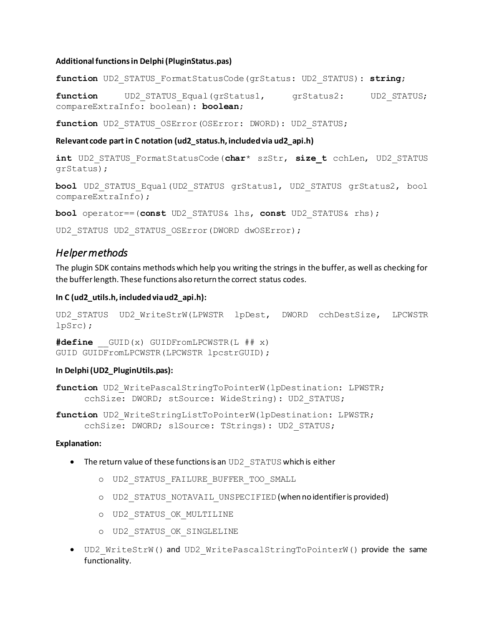#### **Additional functions in Delphi (PluginStatus.pas)**

**function** UD2\_STATUS\_FormatStatusCode(grStatus: UD2\_STATUS): **string**;

function UD2 STATUS Equal(grStatus1, grStatus2: UD2 STATUS; compareExtraInfo: boolean): **boolean**;

function UD2 STATUS OSError(OSError: DWORD): UD2 STATUS;

#### **Relevant code part in C notation (ud2\_status.h, included via ud2\_api.h)**

```
int UD2_STATUS_FormatStatusCode(char* szStr, size_t cchLen, UD2_STATUS 
grStatus);
```
**bool** UD2\_STATUS\_Equal(UD2\_STATUS grStatus1, UD2\_STATUS grStatus2, bool compareExtraInfo);

**bool** operator==(**const** UD2\_STATUS& lhs, **const** UD2\_STATUS& rhs);

<span id="page-13-0"></span>UD2 STATUS UD2 STATUS OSError(DWORD dwOSError);

### *Helper methods*

The plugin SDK contains methods which help you writing the strings in the buffer, as well as checking for the buffer length. These functions also return the correct status codes.

#### **In C (ud2\_utils.h, included via ud2\_api.h):**

```
UD2 STATUS UD2 WriteStrW(LPWSTR lpDest, DWORD cchDestSize, LPCWSTR
lpSrc);
```
**#define** \_\_GUID(x) GUIDFromLPCWSTR(L ## x) GUID GUIDFromLPCWSTR (LPCWSTR lpcstrGUID) ;

#### **In Delphi (UD2\_PluginUtils.pas):**

**function** UD2\_WritePascalStringToPointerW(lpDestination: LPWSTR; cchSize: DWORD; stSource: WideString): UD2\_STATUS;

**function** UD2\_WriteStringListToPointerW(lpDestination: LPWSTR; cchSize: DWORD; slSource: TStrings): UD2\_STATUS;

#### **Explanation:**

- The return value of these functions is an UD2 STATUS which is either
	- o UD2\_STATUS\_FAILURE\_BUFFER\_TOO\_SMALL
	- o UD2\_STATUS\_NOTAVAIL\_UNSPECIFIED (when no identifier is provided)
	- o UD2\_STATUS\_OK\_MULTILINE
	- o UD2\_STATUS\_OK\_SINGLELINE
- UD2\_WriteStrW() and UD2\_WritePascalStringToPointerW() provide the same functionality.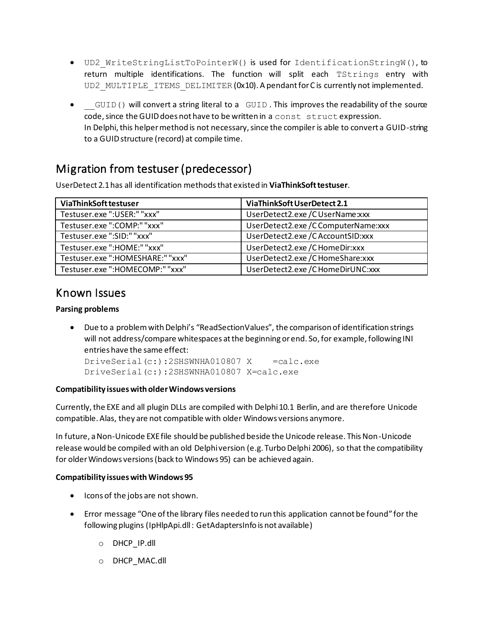- UD2\_WriteStringListToPointerW() is used for IdentificationStringW(), to return multiple identifications. The function will split each TStrings entry with UD2 MULTIPLE ITEMS DELIMITER (0x10). A pendant for C is currently not implemented.
- GUID() will convert a string literal to a GUID. This improves the readability of the source code, since the GUID does not have to be written in a const struct expression. In Delphi, this helper method is not necessary, since the compiler is able to convert a GUID-string to a GUID structure (record) at compile time.

## <span id="page-14-0"></span>Migration from testuser (predecessor)

UserDetect 2.1 has all identification methods that existed in **ViaThinkSoft testuser**.

| ViaThinkSoft testuser           | ViaThinkSoft UserDetect 2.1          |
|---------------------------------|--------------------------------------|
| Testuser.exe": USER:" "xxx"     | UserDetect2.exe / CUserName:xxx      |
| Testuser.exe ":COMP:" "xxx"     | UserDetect2.exe/CComputerName:xxx    |
| Testuser.exe ":SID:" "xxx"      | UserDetect2.exe/CAccountSID:xxx      |
| Testuser.exe ":HOME:" "xxx"     | UserDetect2.exe/CHomeDir:xxx         |
| Testuser.exe":HOMESHARE:""xxx"  | UserDetect2.exe / C HomeShare: xxx   |
| Testuser.exe ":HOMECOMP:" "xxx" | UserDetect2.exe / C Home DirUNC: xxx |

## <span id="page-14-1"></span>Known Issues

### **Parsing problems**

• Due to a problem with Delphi's "ReadSectionValues", the comparison of identification strings will not address/compare whitespaces at the beginning or end. So, for example, following INI entries have the same effect:

DriveSerial(c:):2SHSWNHA010807 X =calc.exe DriveSerial(c:):2SHSWNHA010807 X=calc.exe

### **Compatibility issues with older Windows versions**

Currently, the EXE and all plugin DLLs are compiled with Delphi 10.1 Berlin, and are therefore Unicode compatible. Alas, they are not compatible with older Windows versions anymore.

In future, a Non-Unicode EXE file should be published beside the Unicode release. This Non-Unicode release would be compiled with an old Delphi version (e.g. Turbo Delphi 2006), so that the compatibility for older Windows versions (back to Windows 95) can be achieved again.

### **Compatibility issues with Windows 95**

- Icons of the jobs are not shown.
- Error message "One of the library files needed to run this application cannot be found" for the following plugins (IpHlpApi.dll : GetAdaptersInfo is not available)
	- o DHCP\_IP.dll
	- o DHCP\_MAC.dll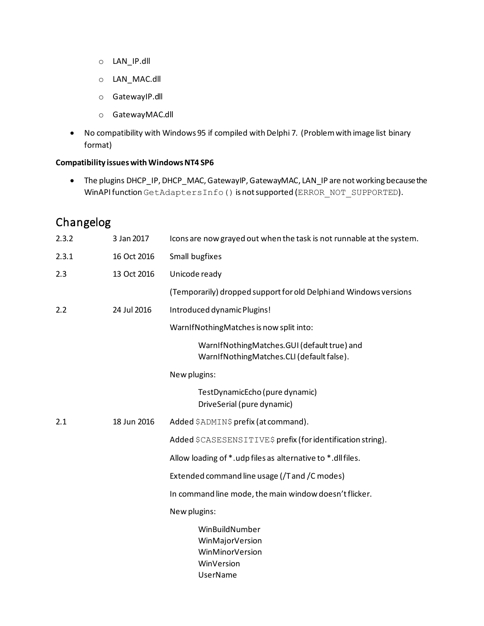- o LAN\_IP.dll
- o LAN\_MAC.dll
- o GatewayIP.dll
- o GatewayMAC.dll
- No compatibility with Windows 95 if compiled with Delphi 7. (Problem with image list binary format)

### **Compatibility issues with Windows NT4 SP6**

• The plugins DHCP\_IP, DHCP\_MAC, GatewayIP, GatewayMAC, LAN\_IP are not working because the WinAPI function GetAdaptersInfo() is not supported (ERROR\_NOT\_SUPPORTED).

## <span id="page-15-0"></span>Changelog

| 2.3.2 | 3 Jan 2017  | Icons are now grayed out when the task is not runnable at the system.                    |
|-------|-------------|------------------------------------------------------------------------------------------|
| 2.3.1 | 16 Oct 2016 | Small bugfixes                                                                           |
| 2.3   | 13 Oct 2016 | Unicode ready                                                                            |
|       |             | (Temporarily) dropped support for old Delphi and Windows versions                        |
| 2.2   | 24 Jul 2016 | Introduced dynamic Plugins!                                                              |
|       |             | WarnIfNothingMatches is now split into:                                                  |
|       |             | WarnIfNothingMatches.GUI (default true) and<br>WarnIfNothingMatches.CLI (default false). |
|       |             | New plugins:                                                                             |
|       |             | TestDynamicEcho (pure dynamic)<br>DriveSerial (pure dynamic)                             |
| 2.1   | 18 Jun 2016 | Added \$ADMIN\$ prefix (at command).                                                     |
|       |             | Added \$CASESENSITIVE\$ prefix (for identification string).                              |
|       |             | Allow loading of *.udp files as alternative to *.dll files.                              |
|       |             | Extended command line usage (/T and /C modes)                                            |
|       |             | In command line mode, the main window doesn't flicker.                                   |
|       |             | New plugins:                                                                             |
|       |             | WinBuildNumber<br>WinMajorVersion<br>WinMinorVersion<br>WinVersion<br><b>UserName</b>    |